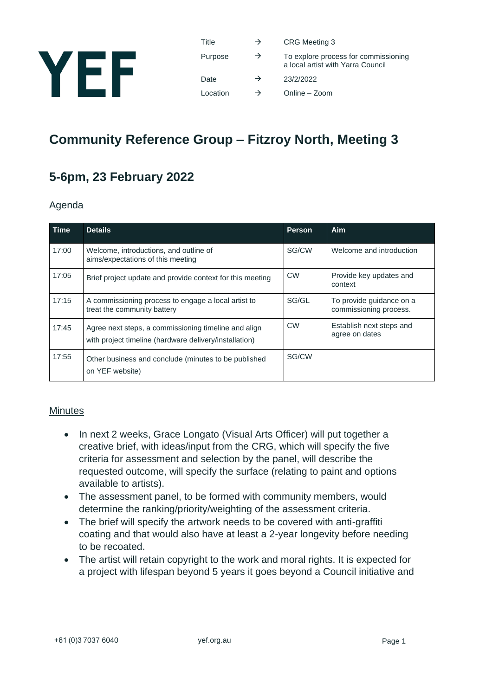

| Title    | $\rightarrow$ | <b>CRG</b> Meeting 3                                                      |
|----------|---------------|---------------------------------------------------------------------------|
| Purpose  | $\rightarrow$ | To explore process for commissioning<br>a local artist with Yarra Council |
| Date     | $\rightarrow$ | 23/2/2022                                                                 |
| Location | $\rightarrow$ | Online - Zoom                                                             |

# **Community Reference Group – Fitzroy North, Meeting 3**

## **5-6pm, 23 February 2022**

#### Agenda

| Time  | <b>Details</b>                                                                                                 | <b>Person</b> | Aim                                                |
|-------|----------------------------------------------------------------------------------------------------------------|---------------|----------------------------------------------------|
| 17:00 | Welcome, introductions, and outline of<br>aims/expectations of this meeting                                    | SG/CW         | Welcome and introduction                           |
| 17:05 | Brief project update and provide context for this meeting                                                      | <b>CW</b>     | Provide key updates and<br>context                 |
| 17:15 | A commissioning process to engage a local artist to<br>treat the community battery                             | SG/GL         | To provide guidance on a<br>commissioning process. |
| 17:45 | Agree next steps, a commissioning timeline and align<br>with project timeline (hardware delivery/installation) | <b>CW</b>     | Establish next steps and<br>agree on dates         |
| 17:55 | Other business and conclude (minutes to be published<br>on YEF website)                                        | SG/CW         |                                                    |

#### **Minutes**

- In next 2 weeks, Grace Longato (Visual Arts Officer) will put together a creative brief, with ideas/input from the CRG, which will specify the five criteria for assessment and selection by the panel, will describe the requested outcome, will specify the surface (relating to paint and options available to artists).
- The assessment panel, to be formed with community members, would determine the ranking/priority/weighting of the assessment criteria.
- The brief will specify the artwork needs to be covered with anti-graffiti coating and that would also have at least a 2-year longevity before needing to be recoated.
- The artist will retain copyright to the work and moral rights. It is expected for a project with lifespan beyond 5 years it goes beyond a Council initiative and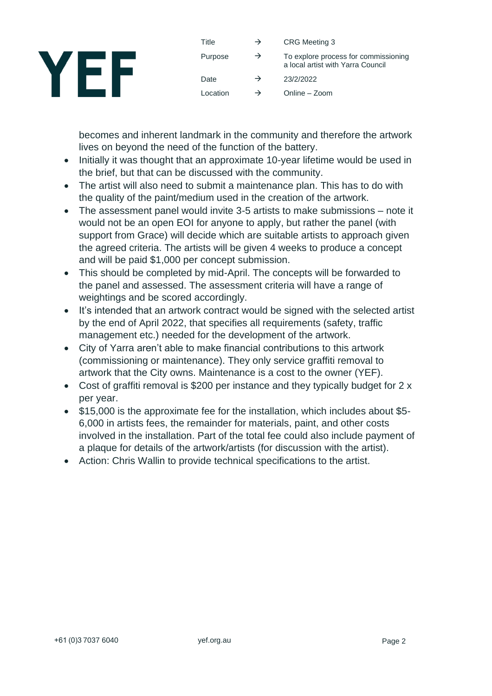

| Title    | $\rightarrow$ | <b>CRG Meeting 3</b>                                                      |
|----------|---------------|---------------------------------------------------------------------------|
| Purpose  | $\rightarrow$ | To explore process for commissioning<br>a local artist with Yarra Council |
| Date     | $\rightarrow$ | 23/2/2022                                                                 |
| Location | →             | Online – Zoom                                                             |

becomes and inherent landmark in the community and therefore the artwork lives on beyond the need of the function of the battery.

- Initially it was thought that an approximate 10-year lifetime would be used in the brief, but that can be discussed with the community.
- The artist will also need to submit a maintenance plan. This has to do with the quality of the paint/medium used in the creation of the artwork.
- The assessment panel would invite 3-5 artists to make submissions note it would not be an open EOI for anyone to apply, but rather the panel (with support from Grace) will decide which are suitable artists to approach given the agreed criteria. The artists will be given 4 weeks to produce a concept and will be paid \$1,000 per concept submission.
- This should be completed by mid-April. The concepts will be forwarded to the panel and assessed. The assessment criteria will have a range of weightings and be scored accordingly.
- It's intended that an artwork contract would be signed with the selected artist by the end of April 2022, that specifies all requirements (safety, traffic management etc.) needed for the development of the artwork.
- City of Yarra aren't able to make financial contributions to this artwork (commissioning or maintenance). They only service graffiti removal to artwork that the City owns. Maintenance is a cost to the owner (YEF).
- Cost of graffiti removal is \$200 per instance and they typically budget for 2 x per year.
- \$15,000 is the approximate fee for the installation, which includes about \$5- 6,000 in artists fees, the remainder for materials, paint, and other costs involved in the installation. Part of the total fee could also include payment of a plaque for details of the artwork/artists (for discussion with the artist).
- Action: Chris Wallin to provide technical specifications to the artist.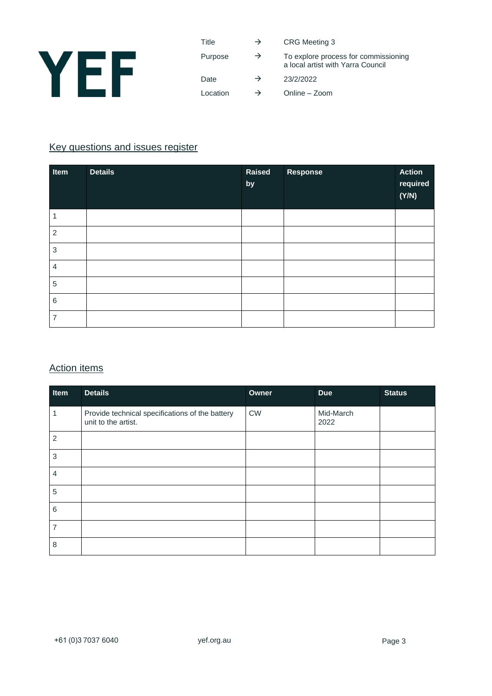

| Title    | $\rightarrow$ | <b>CRG Meeting 3</b>                                                      |
|----------|---------------|---------------------------------------------------------------------------|
| Purpose  | $\rightarrow$ | To explore process for commissioning<br>a local artist with Yarra Council |
| Date     | $\rightarrow$ | 23/2/2022                                                                 |
| Location | $\rightarrow$ | Online - Zoom                                                             |

#### Key questions and issues register

| Item           | <b>Details</b> | Raised<br>by | Response | <b>Action</b><br>required<br>(Y/N) |
|----------------|----------------|--------------|----------|------------------------------------|
| 1              |                |              |          |                                    |
| $\overline{2}$ |                |              |          |                                    |
| $\sqrt{3}$     |                |              |          |                                    |
| $\overline{4}$ |                |              |          |                                    |
| $\sqrt{5}$     |                |              |          |                                    |
| $\,6\,$        |                |              |          |                                    |
| $\overline{7}$ |                |              |          |                                    |

#### Action items

| Item           | <b>Details</b>                                                         | Owner            | <b>Due</b>        | <b>Status</b> |
|----------------|------------------------------------------------------------------------|------------------|-------------------|---------------|
| 1              | Provide technical specifications of the battery<br>unit to the artist. | ${\sf\small CW}$ | Mid-March<br>2022 |               |
| $\overline{2}$ |                                                                        |                  |                   |               |
| 3              |                                                                        |                  |                   |               |
| $\overline{4}$ |                                                                        |                  |                   |               |
| $\overline{5}$ |                                                                        |                  |                   |               |
| $\,6$          |                                                                        |                  |                   |               |
| 7              |                                                                        |                  |                   |               |
| 8              |                                                                        |                  |                   |               |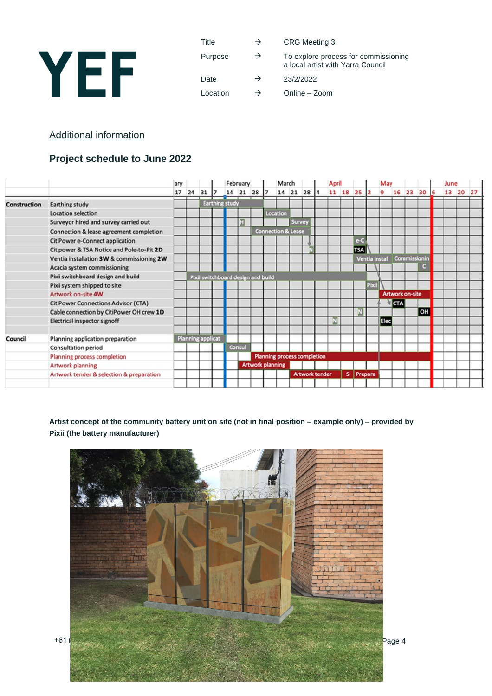

Title  $\rightarrow$  CRG Meeting 3

Purpose  $\rightarrow$  To explore process for commissioning a local artist with Yarra Council

Date  $\rightarrow$  23/2/2022

Location  $\rightarrow$  Online – Zoom

#### Additional information

### **Project schedule to June 2022**

|                     |                                            | ary |                          |    |                                    | February |                                    | March    |        |            |                       | April |          |            |               | May         |                        |              |    |    | June |          |  |
|---------------------|--------------------------------------------|-----|--------------------------|----|------------------------------------|----------|------------------------------------|----------|--------|------------|-----------------------|-------|----------|------------|---------------|-------------|------------------------|--------------|----|----|------|----------|--|
|                     |                                            | 17  | 24                       | 31 |                                    | 14 21 28 |                                    |          |        | 14 21 28 4 |                       |       | 11 18 25 |            |               | 9           | 16                     | 23           | 30 | 16 |      | 13 20 27 |  |
| <b>Construction</b> | Earthing study                             |     |                          |    | <b>Earthing study</b>              |          |                                    |          |        |            |                       |       |          |            |               |             |                        |              |    |    |      |          |  |
|                     | Location selection                         |     |                          |    |                                    |          |                                    | Location |        |            |                       |       |          |            |               |             |                        |              |    |    |      |          |  |
|                     | Surveyor hired and survey carried out      |     |                          |    |                                    | η        |                                    |          | Survey |            |                       |       |          |            |               |             |                        |              |    |    |      |          |  |
|                     | Connection & lease agreement completion    |     |                          |    |                                    |          | <b>Connection &amp; Lease</b>      |          |        |            |                       |       |          |            |               |             |                        |              |    |    |      |          |  |
|                     | <b>CitiPower e-Connect application</b>     |     |                          |    |                                    |          |                                    |          |        |            |                       |       |          |            |               |             |                        |              |    |    |      |          |  |
|                     | Citipower & TSA Notice and Pole-to-Pit 2D  |     |                          |    |                                    |          |                                    |          |        |            |                       |       |          | <b>TSA</b> |               |             |                        |              |    |    |      |          |  |
|                     | Ventia installation 3W & commissioning 2W  |     |                          |    |                                    |          |                                    |          |        |            |                       |       |          |            | Ventia instal |             |                        | Commissionin |    |    |      |          |  |
|                     | Acacia system commissioning                |     |                          |    |                                    |          |                                    |          |        |            |                       |       |          |            |               |             |                        |              | a  |    |      |          |  |
|                     | Pixii switchboard design and build         |     |                          |    | Pixii switchboard design and build |          |                                    |          |        |            |                       |       |          |            |               |             |                        |              |    |    |      |          |  |
|                     | Pixii system shipped to site               |     |                          |    |                                    |          |                                    |          |        |            |                       |       |          |            | Pixii         |             |                        |              |    |    |      |          |  |
|                     | Artwork on-site 4W                         |     |                          |    |                                    |          |                                    |          |        |            |                       |       |          |            |               |             | <b>Artwork on-site</b> |              |    |    |      |          |  |
|                     | <b>CitiPower Connections Advisor (CTA)</b> |     |                          |    |                                    |          |                                    |          |        |            |                       |       |          |            |               |             | <b>CTA</b>             |              |    |    |      |          |  |
|                     | Cable connection by CitiPower OH crew 1D   |     |                          |    |                                    |          |                                    |          |        |            |                       |       |          | m          |               |             |                        |              | OH |    |      |          |  |
|                     | Electrical inspector signoff               |     |                          |    |                                    |          |                                    |          |        |            |                       | ₩     |          |            |               | <b>Elec</b> |                        |              |    |    |      |          |  |
| Council             | Planning application preparation           |     | <b>Planning applicat</b> |    |                                    |          |                                    |          |        |            |                       |       |          |            |               |             |                        |              |    |    |      |          |  |
|                     | <b>Consultation period</b>                 |     |                          |    |                                    | Consul   |                                    |          |        |            |                       |       |          |            |               |             |                        |              |    |    |      |          |  |
|                     | Planning process completion                |     |                          |    |                                    |          | <b>Planning process completion</b> |          |        |            |                       |       |          |            |               |             |                        |              |    |    |      |          |  |
|                     | Artwork planning                           |     |                          |    |                                    |          | <b>Artwork planning</b>            |          |        |            |                       |       |          |            |               |             |                        |              |    |    |      |          |  |
|                     | Artwork tender & selection & preparation   |     |                          |    |                                    |          |                                    |          |        |            | <b>Artwork tender</b> |       | s.       | Prepara    |               |             |                        |              |    |    |      |          |  |
|                     |                                            |     |                          |    |                                    |          |                                    |          |        |            |                       |       |          |            |               |             |                        |              |    |    |      |          |  |

**Artist concept of the community battery unit on site (not in final position – example only) – provided by Pixii (the battery manufacturer)**